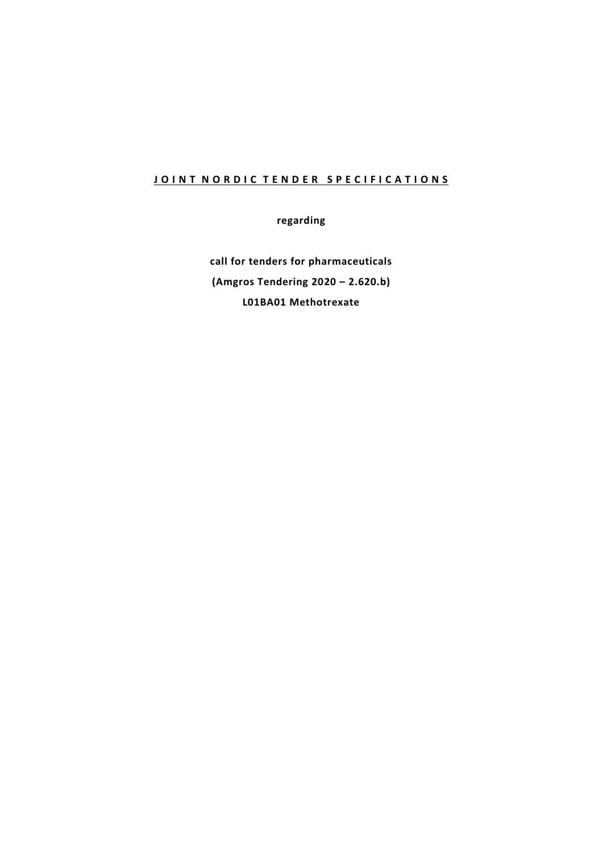# **JOINT NORDIC TENDER SPECIFICATIONS**

**regarding**

**call for tenders for pharmaceuticals (Amgros Tendering 2020 – 2.620.b) L01BA01 Methotrexate**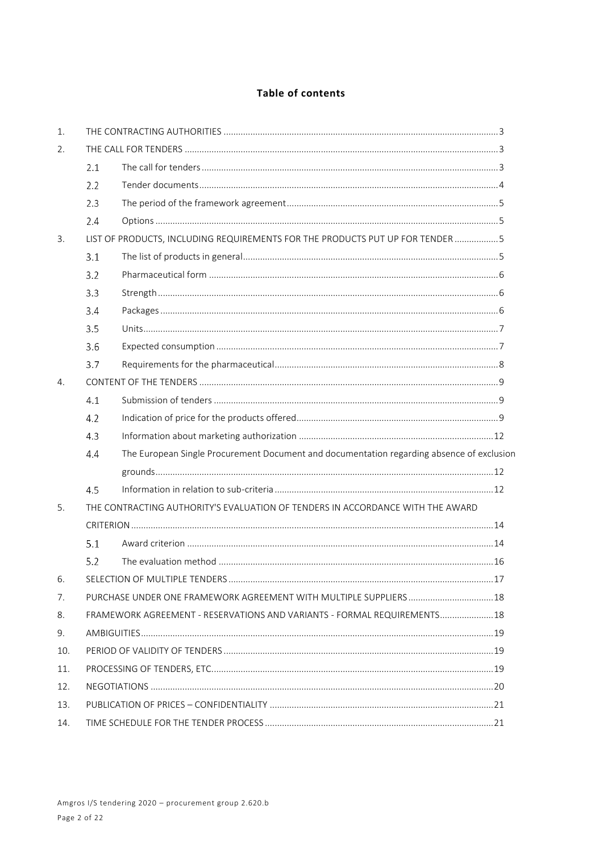# Table of contents

| 1.  |                                                                                                  |                                                                          |  |
|-----|--------------------------------------------------------------------------------------------------|--------------------------------------------------------------------------|--|
| 2.  |                                                                                                  |                                                                          |  |
|     | 2.1                                                                                              |                                                                          |  |
|     | 2.2                                                                                              |                                                                          |  |
|     | 2.3                                                                                              |                                                                          |  |
|     | 2.4                                                                                              |                                                                          |  |
| 3.  | LIST OF PRODUCTS, INCLUDING REQUIREMENTS FOR THE PRODUCTS PUT UP FOR TENDER 5                    |                                                                          |  |
|     | 3.1                                                                                              |                                                                          |  |
|     | 3.2                                                                                              |                                                                          |  |
|     | 3.3                                                                                              |                                                                          |  |
|     | 3.4                                                                                              |                                                                          |  |
|     | 3.5                                                                                              |                                                                          |  |
|     | 3.6                                                                                              |                                                                          |  |
|     | 3.7                                                                                              |                                                                          |  |
| 4.  |                                                                                                  |                                                                          |  |
|     | 4.1                                                                                              |                                                                          |  |
|     | 4.2                                                                                              |                                                                          |  |
|     | 4.3                                                                                              |                                                                          |  |
|     | The European Single Procurement Document and documentation regarding absence of exclusion<br>4.4 |                                                                          |  |
|     |                                                                                                  |                                                                          |  |
|     | 4.5                                                                                              |                                                                          |  |
| 5.  | THE CONTRACTING AUTHORITY'S EVALUATION OF TENDERS IN ACCORDANCE WITH THE AWARD                   |                                                                          |  |
|     |                                                                                                  |                                                                          |  |
|     | 5.1                                                                                              |                                                                          |  |
|     | 5.2                                                                                              |                                                                          |  |
|     |                                                                                                  |                                                                          |  |
| 7.  |                                                                                                  | PURCHASE UNDER ONE FRAMEWORK AGREEMENT WITH MULTIPLE SUPPLIERS 18        |  |
| 8.  |                                                                                                  | FRAMEWORK AGREEMENT - RESERVATIONS AND VARIANTS - FORMAL REQUIREMENTS 18 |  |
| 9.  |                                                                                                  |                                                                          |  |
| 10. |                                                                                                  |                                                                          |  |
| 11. |                                                                                                  |                                                                          |  |
| 12. |                                                                                                  |                                                                          |  |
| 13. |                                                                                                  |                                                                          |  |
| 14. |                                                                                                  |                                                                          |  |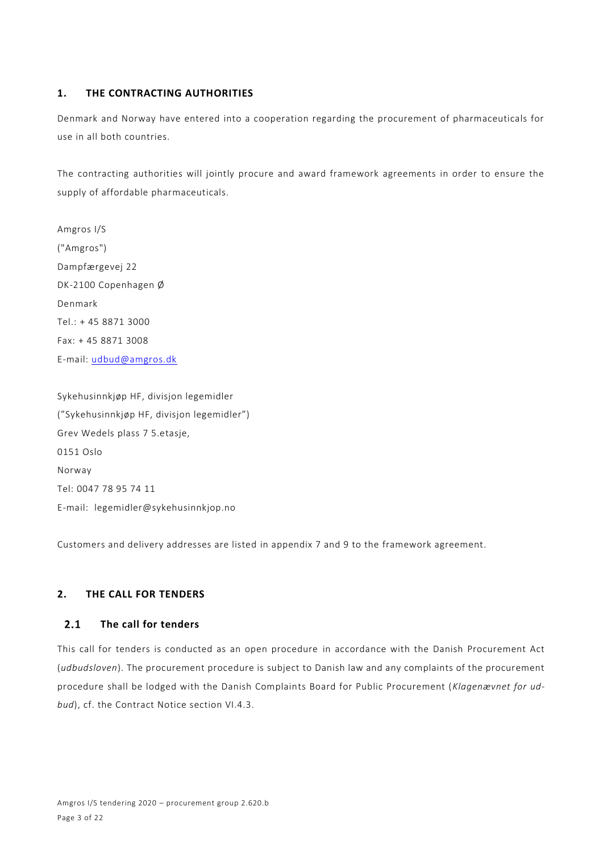# **1. THE CONTRACTING AUTHORITIES**

Denmark and Norway have entered into a cooperation regarding the procurement of pharmaceuticals for use in all both countries.

The contracting authorities will jointly procure and award framework agreements in order to ensure the supply of affordable pharmaceuticals.

Amgros I/S ("Amgros") Dampfærgevej 22 DK-2100 Copenhagen Ø Denmark Tel.: + 45 8871 3000 Fax: + 45 8871 3008 E-mail: [udbud@amgros.dk](mailto:udbud@amgros.dk)

Sykehusinnkjøp HF, divisjon legemidler ("Sykehusinnkjøp HF, divisjon legemidler") Grev Wedels plass 7 5.etasje, 0151 Oslo Norway Tel: 0047 78 95 74 11 E-mail: legemidler@sykehusinnkjop.no

Customers and delivery addresses are listed in appendix 7 and 9 to the framework agreement.

# **2. THE CALL FOR TENDERS**

### **The call for tenders**  $2.1$

This call for tenders is conducted as an open procedure in accordance with the Danish Procurement Act (*udbudsloven*). The procurement procedure is subject to Danish law and any complaints of the procurement procedure shall be lodged with the Danish Complaints Board for Public Procurement (*Klagenævnet for udbud*), cf. the Contract Notice section VI.4.3.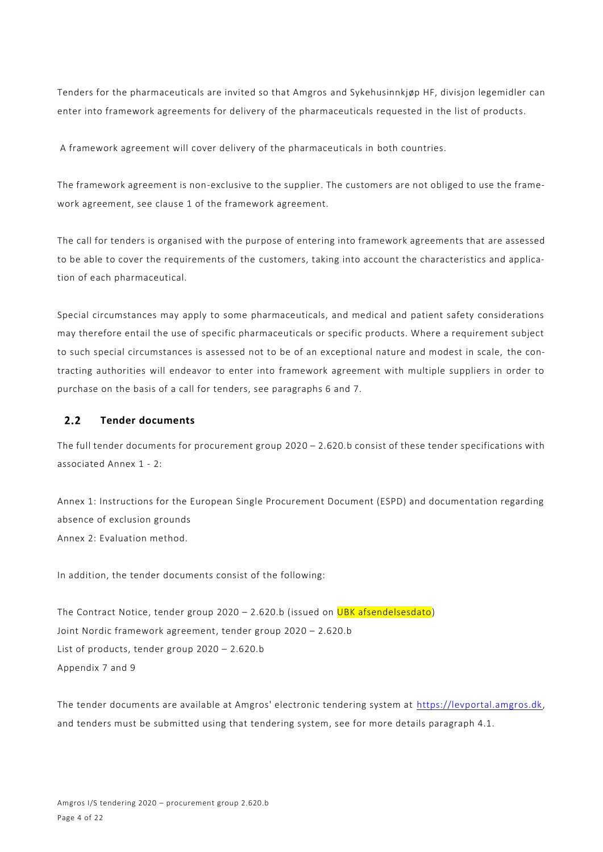Tenders for the pharmaceuticals are invited so that Amgros and Sykehusinnkjøp HF, divisjon legemidler can enter into framework agreements for delivery of the pharmaceuticals requested in the list of products.

A framework agreement will cover delivery of the pharmaceuticals in both countries.

The framework agreement is non-exclusive to the supplier. The customers are not obliged to use the framework agreement, see clause 1 of the framework agreement.

The call for tenders is organised with the purpose of entering into framework agreements that are assessed to be able to cover the requirements of the customers, taking into account the characteristics and application of each pharmaceutical.

Special circumstances may apply to some pharmaceuticals, and medical and patient safety considerations may therefore entail the use of specific pharmaceuticals or specific products. Where a requirement subject to such special circumstances is assessed not to be of an exceptional nature and modest in scale, the contracting authorities will endeavor to enter into framework agreement with multiple suppliers in order to purchase on the basis of a call for tenders, see paragraphs 6 and 7.

#### $2.2$ **Tender documents**

The full tender documents for procurement group 2020 – 2.620.b consist of these tender specifications with associated Annex 1 - 2:

Annex 1: Instructions for the European Single Procurement Document (ESPD) and documentation regarding absence of exclusion grounds Annex 2: Evaluation method.

In addition, the tender documents consist of the following:

The Contract Notice, tender group  $2020 - 2.620$ .b (issued on UBK afsendelsesdato) Joint Nordic framework agreement, tender group 2020 – 2.620.b List of products, tender group 2020 – 2.620.b Appendix 7 and 9

The tender documents are available at Amgros' electronic tendering system at [https://levportal.amgros.dk,](https://levportal.amgros.dk/) and tenders must be submitted using that tendering system, see for more details paragraph 4.1.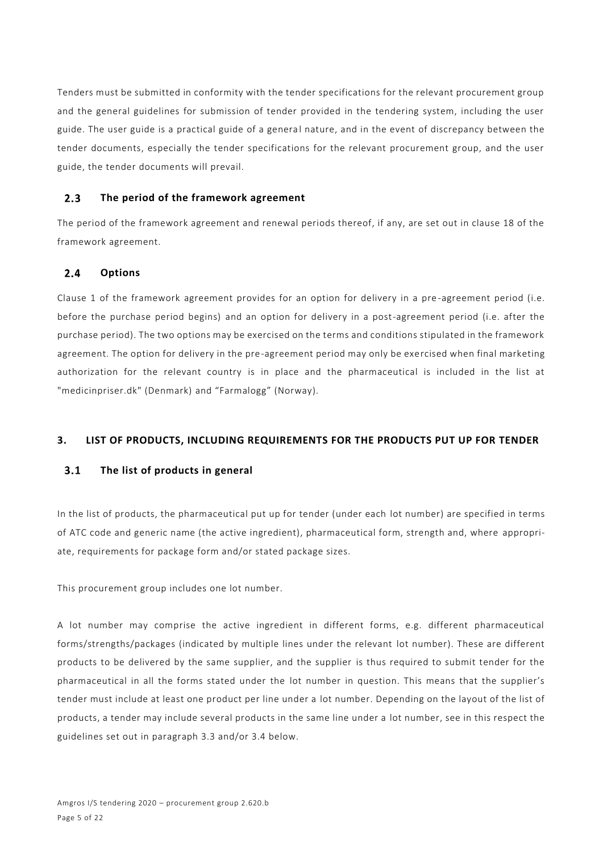Tenders must be submitted in conformity with the tender specifications for the relevant procurement group and the general guidelines for submission of tender provided in the tendering system, including the user guide. The user guide is a practical guide of a general nature, and in the event of discrepancy between the tender documents, especially the tender specifications for the relevant procurement group, and the user guide, the tender documents will prevail.

#### $2.3$ **The period of the framework agreement**

The period of the framework agreement and renewal periods thereof, if any, are set out in clause 18 of the framework agreement.

### $2.4$ **Options**

Clause 1 of the framework agreement provides for an option for delivery in a pre -agreement period (i.e. before the purchase period begins) and an option for delivery in a post-agreement period (i.e. after the purchase period). The two options may be exercised on the terms and conditions stipulated in the framework agreement. The option for delivery in the pre-agreement period may only be exercised when final marketing authorization for the relevant country is in place and the pharmaceutical is included in the list at "medicinpriser.dk" (Denmark) and "Farmalogg" (Norway).

# **3. LIST OF PRODUCTS, INCLUDING REQUIREMENTS FOR THE PRODUCTS PUT UP FOR TENDER**

#### $3.1$ **The list of products in general**

In the list of products, the pharmaceutical put up for tender (under each lot number) are specified in terms of ATC code and generic name (the active ingredient), pharmaceutical form, strength and, where appropriate, requirements for package form and/or stated package sizes.

This procurement group includes one lot number.

A lot number may comprise the active ingredient in different forms, e.g. different pharmaceutical forms/strengths/packages (indicated by multiple lines under the relevant lot number). These are different products to be delivered by the same supplier, and the supplier is thus required to submit tender for the pharmaceutical in all the forms stated under the lot number in question. This means that the supplier's tender must include at least one product per line under a lot number. Depending on the layout of the list of products, a tender may include several products in the same line under a lot number, see in this respect the guidelines set out in paragraph 3.3 and/or 3.4 below.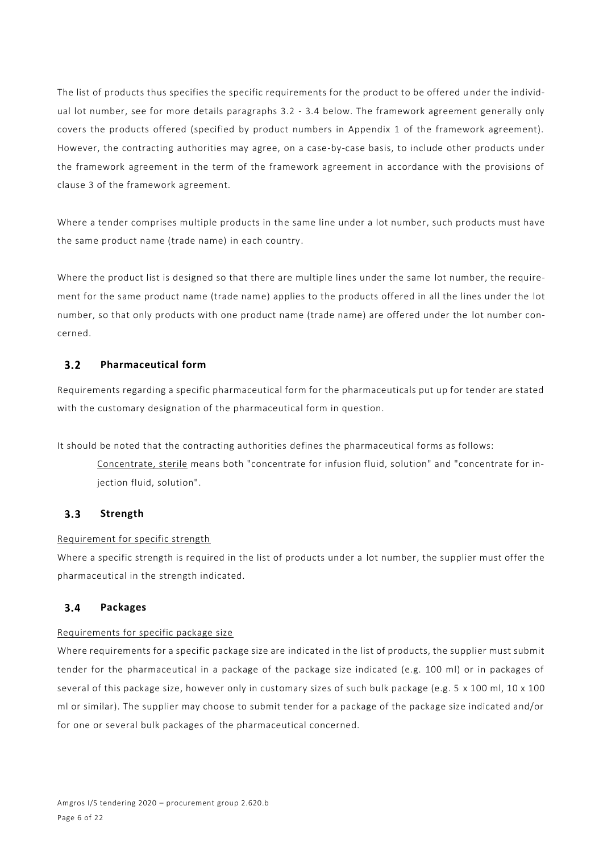The list of products thus specifies the specific requirements for the product to be offered u nder the individual lot number, see for more details paragraphs 3.2 - 3.4 below. The framework agreement generally only covers the products offered (specified by product numbers in Appendix 1 of the framework agreement). However, the contracting authorities may agree, on a case-by-case basis, to include other products under the framework agreement in the term of the framework agreement in accordance with the provisions of clause 3 of the framework agreement.

Where a tender comprises multiple products in the same line under a lot number, such products must have the same product name (trade name) in each country.

Where the product list is designed so that there are multiple lines under the same lot number, the requirement for the same product name (trade name) applies to the products offered in all the lines under the lot number, so that only products with one product name (trade name) are offered under the lot number concerned.

### **Pharmaceutical form**  $3.2$

Requirements regarding a specific pharmaceutical form for the pharmaceuticals put up for tender are stated with the customary designation of the pharmaceutical form in question.

It should be noted that the contracting authorities defines the pharmaceutical forms as follows:

Concentrate, sterile means both "concentrate for infusion fluid, solution" and "concentrate for injection fluid, solution".

#### $3.3$ **Strength**

# Requirement for specific strength

Where a specific strength is required in the list of products under a lot number, the supplier must offer the pharmaceutical in the strength indicated.

#### $3.4$ **Packages**

# Requirements for specific package size

Where requirements for a specific package size are indicated in the list of products, the supplier must submit tender for the pharmaceutical in a package of the package size indicated (e.g. 100 ml) or in packages of several of this package size, however only in customary sizes of such bulk package (e.g. 5 x 100 ml, 10 x 100 ml or similar). The supplier may choose to submit tender for a package of the package size indicated and/or for one or several bulk packages of the pharmaceutical concerned.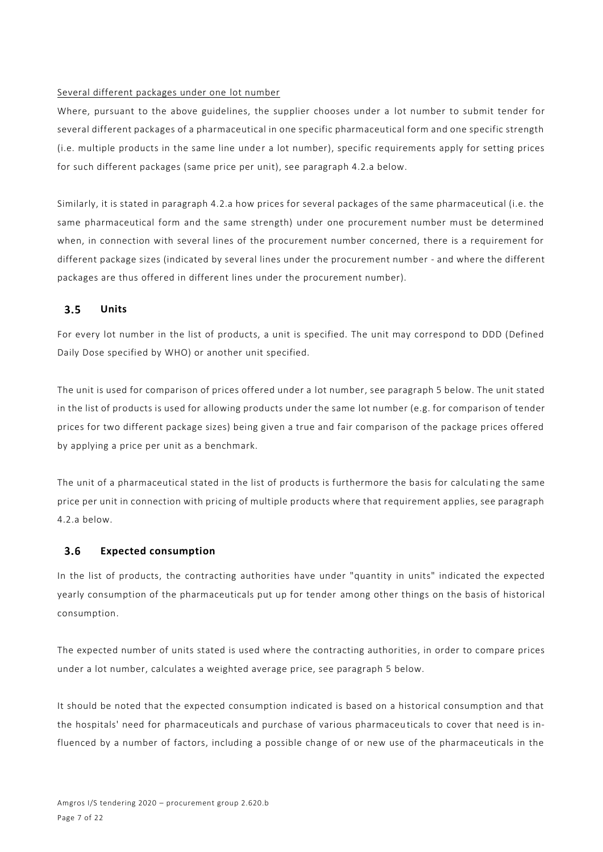### Several different packages under one lot number

Where, pursuant to the above guidelines, the supplier chooses under a lot number to submit tender for several different packages of a pharmaceutical in one specific pharmaceutical form and one specific strength (i.e. multiple products in the same line under a lot number), specific requirements apply for setting prices for such different packages (same price per unit), see paragraph 4.2.a below.

Similarly, it is stated in paragraph 4.2.a how prices for several packages of the same pharmaceutical (i.e. the same pharmaceutical form and the same strength) under one procurement number must be determined when, in connection with several lines of the procurement number concerned, there is a requirement for different package sizes (indicated by several lines under the procurement number - and where the different packages are thus offered in different lines under the procurement number).

### $3.5$ **Units**

For every lot number in the list of products, a unit is specified. The unit may correspond to DDD (Defined Daily Dose specified by WHO) or another unit specified.

The unit is used for comparison of prices offered under a lot number, see paragraph 5 below. The unit stated in the list of products is used for allowing products under the same lot number (e.g. for comparison of tender prices for two different package sizes) being given a true and fair comparison of the package prices offered by applying a price per unit as a benchmark.

The unit of a pharmaceutical stated in the list of products is furthermore the basis for calculati ng the same price per unit in connection with pricing of multiple products where that requirement applies, see paragraph 4.2.a below.

#### $3.6$ **Expected consumption**

In the list of products, the contracting authorities have under "quantity in units" indicated the expected yearly consumption of the pharmaceuticals put up for tender among other things on the basis of historical consumption.

The expected number of units stated is used where the contracting authorities, in order to compare prices under a lot number, calculates a weighted average price, see paragraph 5 below.

It should be noted that the expected consumption indicated is based on a historical consumption and that the hospitals' need for pharmaceuticals and purchase of various pharmaceu ticals to cover that need is influenced by a number of factors, including a possible change of or new use of the pharmaceuticals in the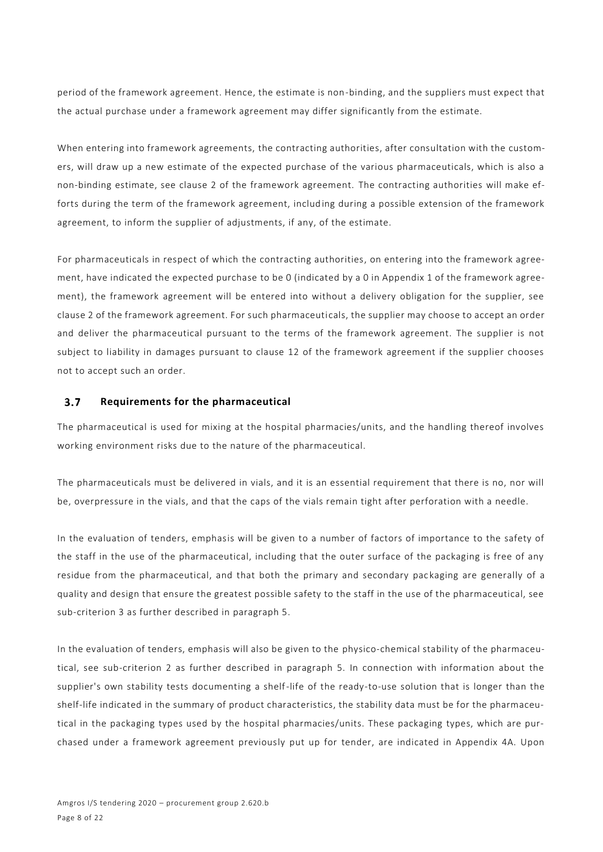period of the framework agreement. Hence, the estimate is non-binding, and the suppliers must expect that the actual purchase under a framework agreement may differ significantly from the estimate.

When entering into framework agreements, the contracting authorities, after consultation with the customers, will draw up a new estimate of the expected purchase of the various pharmaceuticals, which is also a non-binding estimate, see clause 2 of the framework agreement. The contracting authorities will make efforts during the term of the framework agreement, including during a possible extension of the framework agreement, to inform the supplier of adjustments, if any, of the estimate.

For pharmaceuticals in respect of which the contracting authorities, on entering into the framework agreement, have indicated the expected purchase to be 0 (indicated by a 0 in Appendix 1 of the framework agreement), the framework agreement will be entered into without a delivery obligation for the supplier, see clause 2 of the framework agreement. For such pharmaceuticals, the supplier may choose to accept an order and deliver the pharmaceutical pursuant to the terms of the framework agreement. The supplier is not subject to liability in damages pursuant to clause 12 of the framework agreement if the supplier chooses not to accept such an order.

#### $3.7$ **Requirements for the pharmaceutical**

The pharmaceutical is used for mixing at the hospital pharmacies/units, and the handling thereof involves working environment risks due to the nature of the pharmaceutical.

The pharmaceuticals must be delivered in vials, and it is an essential requirement that there is no, nor will be, overpressure in the vials, and that the caps of the vials remain tight after perforation with a needle.

In the evaluation of tenders, emphasis will be given to a number of factors of importance to the safety of the staff in the use of the pharmaceutical, including that the outer surface of the packaging is free of any residue from the pharmaceutical, and that both the primary and secondary packaging are generally of a quality and design that ensure the greatest possible safety to the staff in the use of the pharmaceutical, see sub-criterion 3 as further described in paragraph 5.

In the evaluation of tenders, emphasis will also be given to the physico-chemical stability of the pharmaceutical, see sub-criterion 2 as further described in paragraph 5. In connection with information about the supplier's own stability tests documenting a shelf-life of the ready-to-use solution that is longer than the shelf-life indicated in the summary of product characteristics, the stability data must be for the pharmaceutical in the packaging types used by the hospital pharmacies/units. These packaging types, which are purchased under a framework agreement previously put up for tender, are indicated in Appendix 4A. Upon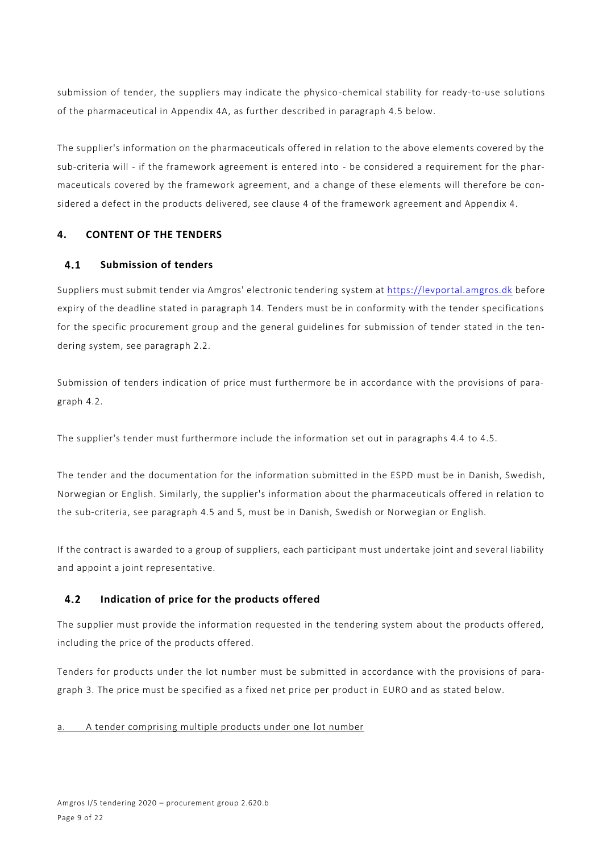submission of tender, the suppliers may indicate the physico-chemical stability for ready-to-use solutions of the pharmaceutical in Appendix 4A, as further described in paragraph 4.5 below.

The supplier's information on the pharmaceuticals offered in relation to the above elements covered by the sub-criteria will - if the framework agreement is entered into - be considered a requirement for the pharmaceuticals covered by the framework agreement, and a change of these elements will therefore be considered a defect in the products delivered, see clause 4 of the framework agreement and Appendix 4.

# **4. CONTENT OF THE TENDERS**

### $4.1$ **Submission of tenders**

Suppliers must submit tender via Amgros' electronic tendering system at [https://levportal.amgros.dk](https://levportal.amgros.dk/) before expiry of the deadline stated in paragraph 14. Tenders must be in conformity with the tender specifications for the specific procurement group and the general guidelines for submission of tender stated in the tendering system, see paragraph 2.2.

Submission of tenders indication of price must furthermore be in accordance with the provisions of paragraph 4.2.

The supplier's tender must furthermore include the information set out in paragraphs 4.4 to 4.5.

The tender and the documentation for the information submitted in the ESPD must be in Danish, Swedish, Norwegian or English. Similarly, the supplier's information about the pharmaceuticals offered in relation to the sub-criteria, see paragraph 4.5 and 5, must be in Danish, Swedish or Norwegian or English.

If the contract is awarded to a group of suppliers, each participant must undertake joint and several liability and appoint a joint representative.

### $4.2$ **Indication of price for the products offered**

The supplier must provide the information requested in the tendering system about the products offered, including the price of the products offered.

Tenders for products under the lot number must be submitted in accordance with the provisions of paragraph 3. The price must be specified as a fixed net price per product in EURO and as stated below.

a. A tender comprising multiple products under one lot number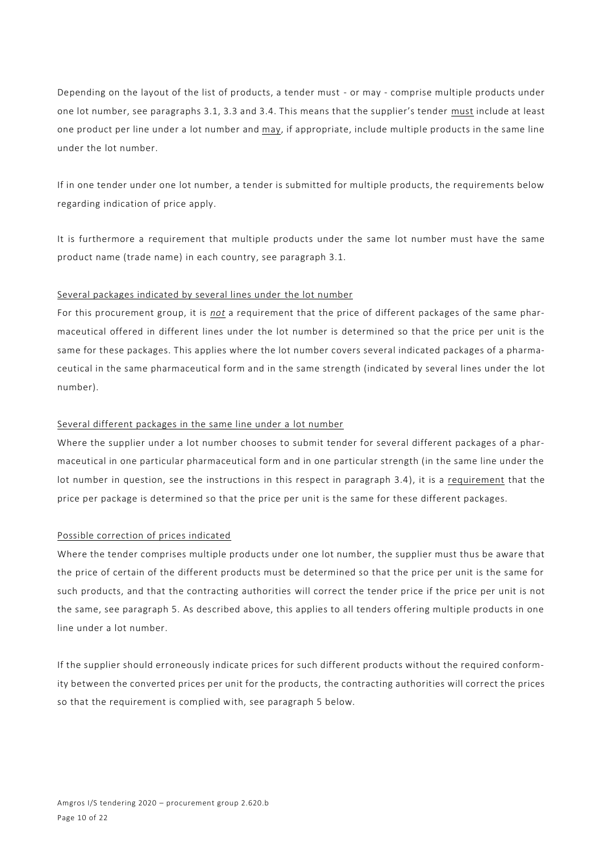Depending on the layout of the list of products, a tender must - or may - comprise multiple products under one lot number, see paragraphs 3.1, 3.3 and 3.4. This means that the supplier's tender must include at least one product per line under a lot number and may, if appropriate, include multiple products in the same line under the lot number.

If in one tender under one lot number, a tender is submitted for multiple products, the requirements below regarding indication of price apply.

It is furthermore a requirement that multiple products under the same lot number must have the same product name (trade name) in each country, see paragraph 3.1.

### Several packages indicated by several lines under the lot number

For this procurement group, it is *not* a requirement that the price of different packages of the same pharmaceutical offered in different lines under the lot number is determined so that the price per unit is the same for these packages. This applies where the lot number covers several indicated packages of a pharmaceutical in the same pharmaceutical form and in the same strength (indicated by several lines under the lot number).

### Several different packages in the same line under a lot number

Where the supplier under a lot number chooses to submit tender for several different packages of a pharmaceutical in one particular pharmaceutical form and in one particular strength (in the same line under the lot number in question, see the instructions in this respect in paragraph 3.4), it is a requirement that the price per package is determined so that the price per unit is the same for these different packages.

### Possible correction of prices indicated

Where the tender comprises multiple products under one lot number, the supplier must thus be aware that the price of certain of the different products must be determined so that the price per unit is the same for such products, and that the contracting authorities will correct the tender price if the price per unit is not the same, see paragraph 5. As described above, this applies to all tenders offering multiple products in one line under a lot number.

If the supplier should erroneously indicate prices for such different products without the required conformity between the converted prices per unit for the products, the contracting authorities will correct the prices so that the requirement is complied with, see paragraph 5 below.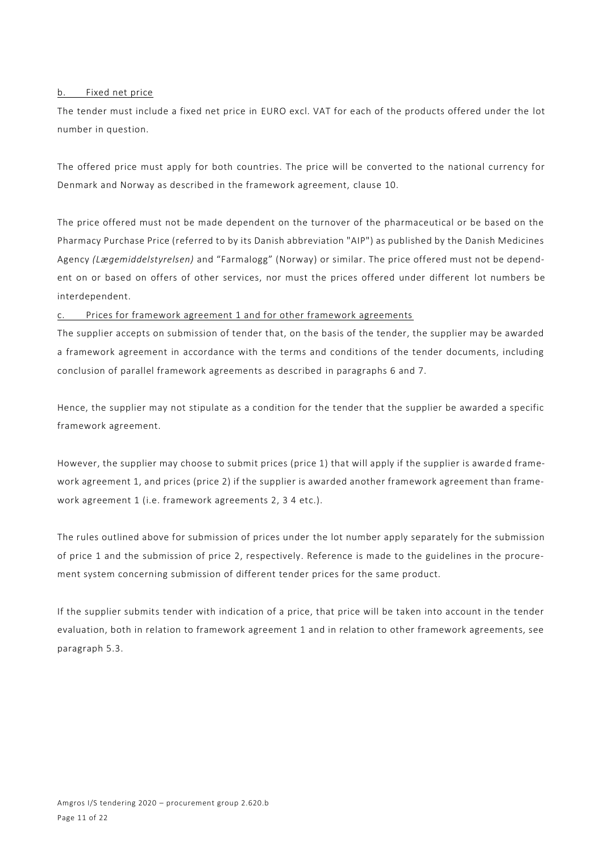### b. Fixed net price

The tender must include a fixed net price in EURO excl. VAT for each of the products offered under the lot number in question.

The offered price must apply for both countries. The price will be converted to the national currency for Denmark and Norway as described in the framework agreement, clause 10.

The price offered must not be made dependent on the turnover of the pharmaceutical or be based on the Pharmacy Purchase Price (referred to by its Danish abbreviation "AIP") as published by the Danish Medicines Agency *(Lægemiddelstyrelsen)* and "Farmalogg" (Norway) or similar. The price offered must not be dependent on or based on offers of other services, nor must the prices offered under different lot numbers be interdependent.

# Prices for framework agreement 1 and for other framework agreements

The supplier accepts on submission of tender that, on the basis of the tender, the supplier may be awarded a framework agreement in accordance with the terms and conditions of the tender documents, including conclusion of parallel framework agreements as described in paragraphs 6 and 7.

Hence, the supplier may not stipulate as a condition for the tender that the supplier be awarded a specific framework agreement.

However, the supplier may choose to submit prices (price 1) that will apply if the supplier is awarde d framework agreement 1, and prices (price 2) if the supplier is awarded another framework agreement than framework agreement 1 (i.e. framework agreements 2, 3 4 etc.).

The rules outlined above for submission of prices under the lot number apply separately for the submission of price 1 and the submission of price 2, respectively. Reference is made to the guidelines in the procurement system concerning submission of different tender prices for the same product.

If the supplier submits tender with indication of a price, that price will be taken into account in the tender evaluation, both in relation to framework agreement 1 and in relation to other framework agreements, see paragraph 5.3.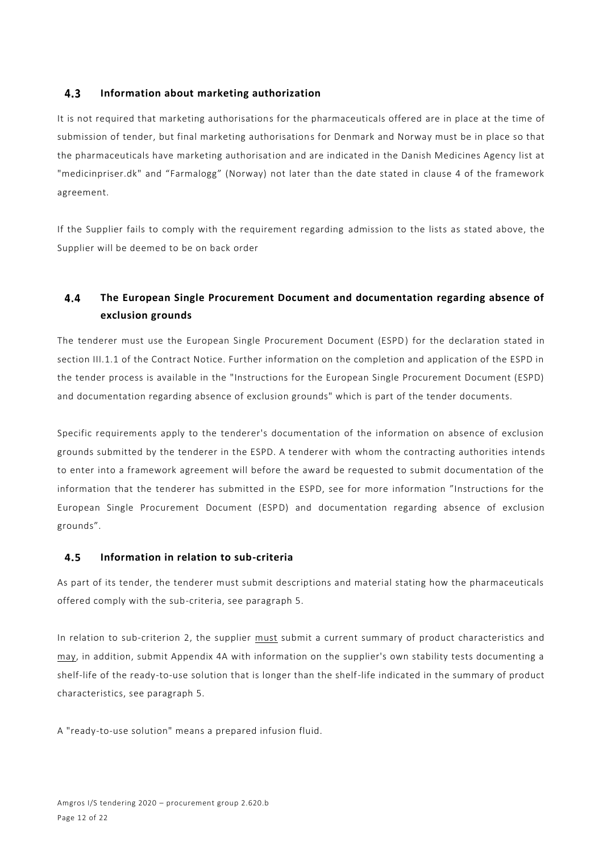#### $4.3$ **Information about marketing authorization**

It is not required that marketing authorisations for the pharmaceuticals offered are in place at the time of submission of tender, but final marketing authorisations for Denmark and Norway must be in place so that the pharmaceuticals have marketing authorisation and are indicated in the Danish Medicines Agency list at "medicinpriser.dk" and "Farmalogg" (Norway) not later than the date stated in clause 4 of the framework agreement.

If the Supplier fails to comply with the requirement regarding admission to the lists as stated above, the Supplier will be deemed to be on back order

### $4.4$ **The European Single Procurement Document and documentation regarding absence of exclusion grounds**

The tenderer must use the European Single Procurement Document (ESPD) for the declaration stated in section III.1.1 of the Contract Notice. Further information on the completion and application of the ESPD in the tender process is available in the "Instructions for the European Single Procurement Document (ESPD) and documentation regarding absence of exclusion grounds" which is part of the tender documents.

Specific requirements apply to the tenderer's documentation of the information on absence of exclusion grounds submitted by the tenderer in the ESPD. A tenderer with whom the contracting authorities intends to enter into a framework agreement will before the award be requested to submit documentation of the information that the tenderer has submitted in the ESPD, see for more information "Instructions for the European Single Procurement Document (ESPD) and documentation regarding absence of exclusion grounds".

#### **Information in relation to sub-criteria**  $4.5$

As part of its tender, the tenderer must submit descriptions and material stating how the pharmaceuticals offered comply with the sub-criteria, see paragraph 5.

In relation to sub-criterion 2, the supplier must submit a current summary of product characteristics and may, in addition, submit Appendix 4A with information on the supplier's own stability tests documenting a shelf-life of the ready-to-use solution that is longer than the shelf-life indicated in the summary of product characteristics, see paragraph 5.

A "ready-to-use solution" means a prepared infusion fluid.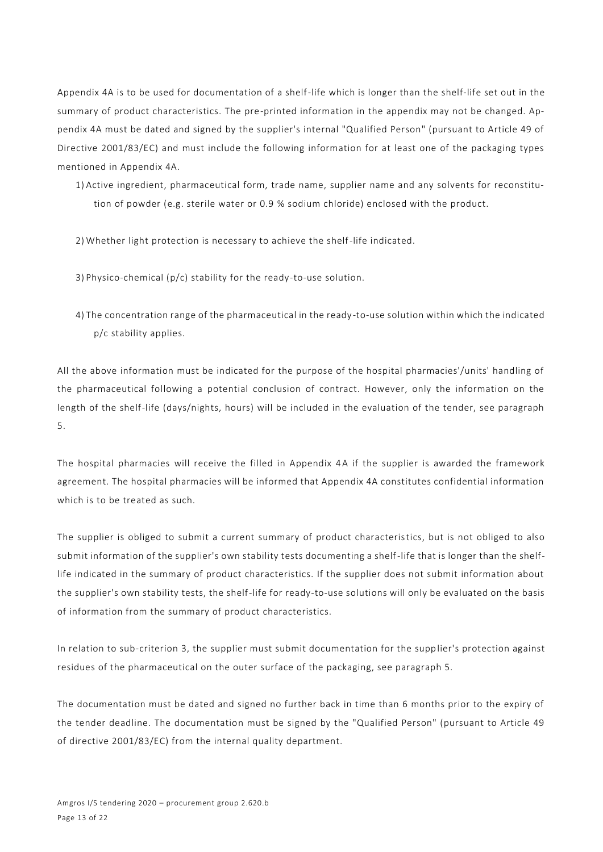Appendix 4A is to be used for documentation of a shelf-life which is longer than the shelf-life set out in the summary of product characteristics. The pre-printed information in the appendix may not be changed. Appendix 4A must be dated and signed by the supplier's internal "Qualified Person" (pursuant to Article 49 of Directive 2001/83/EC) and must include the following information for at least one of the packaging types mentioned in Appendix 4A.

- 1) Active ingredient, pharmaceutical form, trade name, supplier name and any solvents for reconstitution of powder (e.g. sterile water or 0.9 % sodium chloride) enclosed with the product.
- 2) Whether light protection is necessary to achieve the shelf-life indicated.
- 3) Physico-chemical (p/c) stability for the ready-to-use solution.
- 4) The concentration range of the pharmaceutical in the ready -to-use solution within which the indicated p/c stability applies.

All the above information must be indicated for the purpose of the hospital pharmacies'/units' handling of the pharmaceutical following a potential conclusion of contract. However, only the information on the length of the shelf-life (days/nights, hours) will be included in the evaluation of the tender, see paragraph 5.

The hospital pharmacies will receive the filled in Appendix 4A if the supplier is awarded the framework agreement. The hospital pharmacies will be informed that Appendix 4A constitutes confidential information which is to be treated as such.

The supplier is obliged to submit a current summary of product characteristics, but is not obliged to also submit information of the supplier's own stability tests documenting a shelf-life that is longer than the shelflife indicated in the summary of product characteristics. If the supplier does not submit information about the supplier's own stability tests, the shelf-life for ready-to-use solutions will only be evaluated on the basis of information from the summary of product characteristics.

In relation to sub-criterion 3, the supplier must submit documentation for the supplier's protection against residues of the pharmaceutical on the outer surface of the packaging, see paragraph 5.

The documentation must be dated and signed no further back in time than 6 months prior to the expiry of the tender deadline. The documentation must be signed by the "Qualified Person" (pursuant to Article 49 of directive 2001/83/EC) from the internal quality department.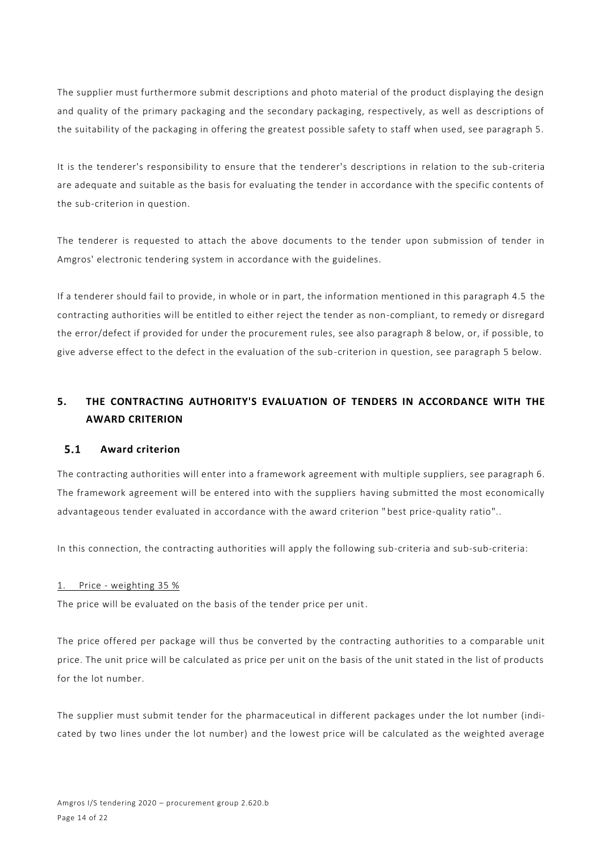The supplier must furthermore submit descriptions and photo material of the product displaying the design and quality of the primary packaging and the secondary packaging, respectively, as well as descriptions of the suitability of the packaging in offering the greatest possible safety to staff when used, see paragraph 5.

It is the tenderer's responsibility to ensure that the tenderer's descriptions in relation to the sub-criteria are adequate and suitable as the basis for evaluating the tender in accordance with the specific contents of the sub-criterion in question.

The tenderer is requested to attach the above documents to the tender upon submission of tender in Amgros' electronic tendering system in accordance with the guidelines.

If a tenderer should fail to provide, in whole or in part, the information mentioned in this paragraph 4.5 the contracting authorities will be entitled to either reject the tender as non-compliant, to remedy or disregard the error/defect if provided for under the procurement rules, see also paragraph 8 below, or, if possible, to give adverse effect to the defect in the evaluation of the sub-criterion in question, see paragraph 5 below.

# **5. THE CONTRACTING AUTHORITY'S EVALUATION OF TENDERS IN ACCORDANCE WITH THE AWARD CRITERION**

#### $5.1$ **Award criterion**

The contracting authorities will enter into a framework agreement with multiple suppliers, see paragraph 6. The framework agreement will be entered into with the suppliers having submitted the most economically advantageous tender evaluated in accordance with the award criterion " best price-quality ratio"..

In this connection, the contracting authorities will apply the following sub-criteria and sub-sub-criteria:

### 1. Price - weighting 35 %

The price will be evaluated on the basis of the tender price per unit.

The price offered per package will thus be converted by the contracting authorities to a comparable unit price. The unit price will be calculated as price per unit on the basis of the unit stated in the list of products for the lot number.

The supplier must submit tender for the pharmaceutical in different packages under the lot number (indicated by two lines under the lot number) and the lowest price will be calculated as the weighted average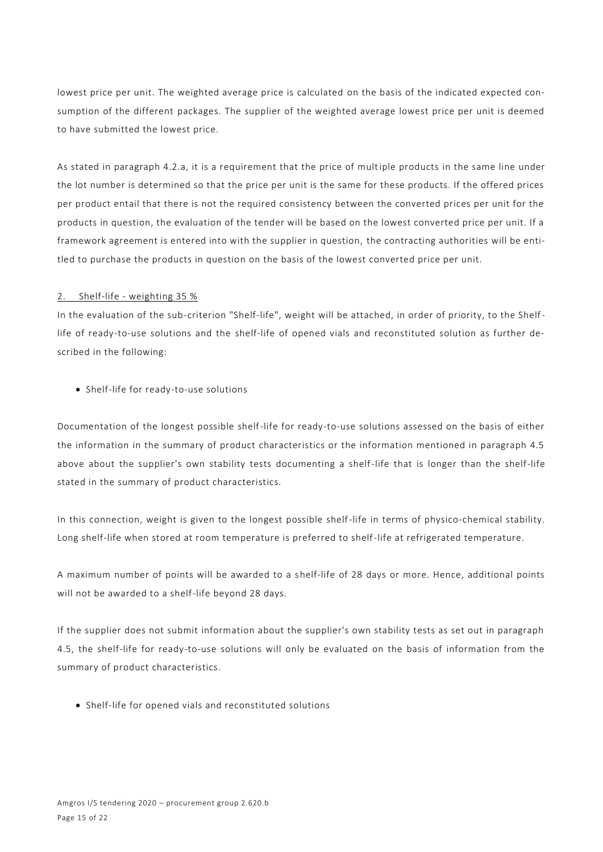lowest price per unit. The weighted average price is calculated on the basis of the indicated expected consumption of the different packages. The supplier of the weighted average lowest price per unit is deemed to have submitted the lowest price.

As stated in paragraph 4.2.a, it is a requirement that the price of multiple products in the same line under the lot number is determined so that the price per unit is the same for these products. If the offered prices per product entail that there is not the required consistency between the converted prices per unit for the products in question, the evaluation of the tender will be based on the lowest converted price per unit. If a framework agreement is entered into with the supplier in question, the contracting authorities will be entitled to purchase the products in question on the basis of the lowest converted price per unit.

### 2. Shelf-life - weighting 35 %

In the evaluation of the sub-criterion "Shelf-life", weight will be attached, in order of priority, to the Shelflife of ready-to-use solutions and the shelf-life of opened vials and reconstituted solution as further described in the following:

• Shelf-life for ready-to-use solutions

Documentation of the longest possible shelf-life for ready-to-use solutions assessed on the basis of either the information in the summary of product characteristics or the information mentioned in paragraph 4.5 above about the supplier's own stability tests documenting a shelf-life that is longer than the shelf-life stated in the summary of product characteristics.

In this connection, weight is given to the longest possible shelf-life in terms of physico-chemical stability. Long shelf-life when stored at room temperature is preferred to shelf-life at refrigerated temperature.

A maximum number of points will be awarded to a shelf-life of 28 days or more. Hence, additional points will not be awarded to a shelf-life beyond 28 days.

If the supplier does not submit information about the supplier's own stability tests as set out in paragraph 4.5, the shelf-life for ready-to-use solutions will only be evaluated on the basis of information from the summary of product characteristics.

• Shelf-life for opened vials and reconstituted solutions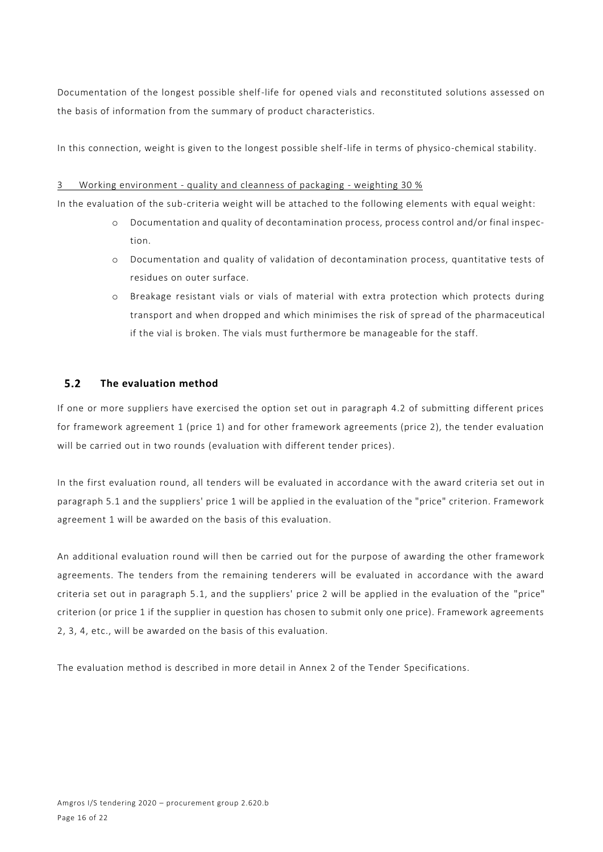Documentation of the longest possible shelf-life for opened vials and reconstituted solutions assessed on the basis of information from the summary of product characteristics.

In this connection, weight is given to the longest possible shelf-life in terms of physico-chemical stability.

# 3 Working environment - quality and cleanness of packaging - weighting 30 %

In the evaluation of the sub-criteria weight will be attached to the following elements with equal weight:

- o Documentation and quality of decontamination process, process control and/or final inspection.
- o Documentation and quality of validation of decontamination process, quantitative tests of residues on outer surface.
- o Breakage resistant vials or vials of material with extra protection which protects during transport and when dropped and which minimises the risk of spre ad of the pharmaceutical if the vial is broken. The vials must furthermore be manageable for the staff.

### $5.2$ **The evaluation method**

If one or more suppliers have exercised the option set out in paragraph 4.2 of submitting different prices for framework agreement 1 (price 1) and for other framework agreements (price 2), the tender evaluation will be carried out in two rounds (evaluation with different tender prices).

In the first evaluation round, all tenders will be evaluated in accordance with the award criteria set out in paragraph 5.1 and the suppliers' price 1 will be applied in the evaluation of the "price" criterion. Framework agreement 1 will be awarded on the basis of this evaluation.

An additional evaluation round will then be carried out for the purpose of awarding the other framework agreements. The tenders from the remaining tenderers will be evaluated in accordance with the award criteria set out in paragraph 5.1, and the suppliers' price 2 will be applied in the evaluation of the "price" criterion (or price 1 if the supplier in question has chosen to submit only one price). Framework agreements 2, 3, 4, etc., will be awarded on the basis of this evaluation.

The evaluation method is described in more detail in Annex 2 of the Tender Specifications.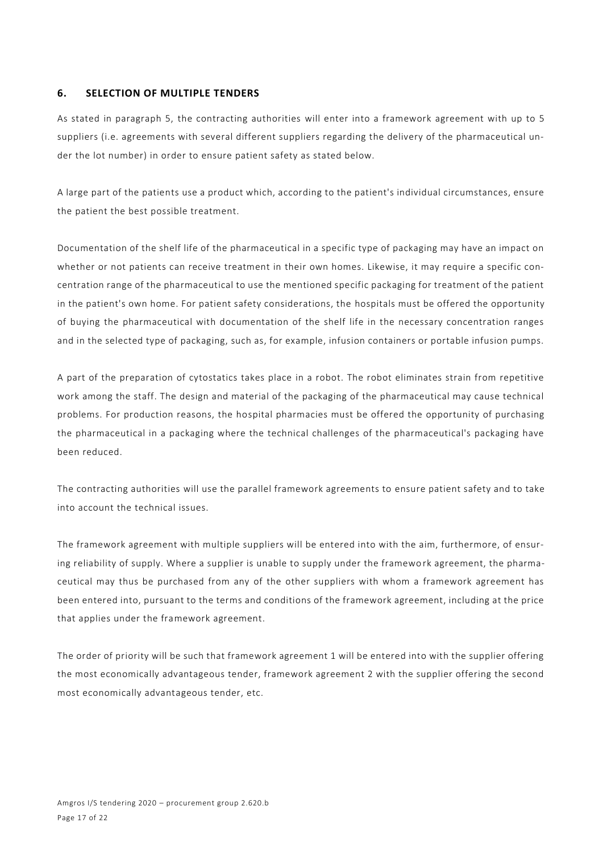# **6. SELECTION OF MULTIPLE TENDERS**

As stated in paragraph 5, the contracting authorities will enter into a framework agreement with up to 5 suppliers (i.e. agreements with several different suppliers regarding the delivery of the pharmaceutical under the lot number) in order to ensure patient safety as stated below.

A large part of the patients use a product which, according to the patient's individual circumstances, ensure the patient the best possible treatment.

Documentation of the shelf life of the pharmaceutical in a specific type of packaging may have an impact on whether or not patients can receive treatment in their own homes. Likewise, it may require a specific concentration range of the pharmaceutical to use the mentioned specific packaging for treatment of the patient in the patient's own home. For patient safety considerations, the hospitals must be offered the opportunity of buying the pharmaceutical with documentation of the shelf life in the necessary concentration ranges and in the selected type of packaging, such as, for example, infusion containers or portable infusion pumps.

A part of the preparation of cytostatics takes place in a robot. The robot eliminates strain from repetitive work among the staff. The design and material of the packaging of the pharmaceutical may cause technical problems. For production reasons, the hospital pharmacies must be offered the opportunity of purchasing the pharmaceutical in a packaging where the technical challenges of the pharmaceutical's packaging have been reduced.

The contracting authorities will use the parallel framework agreements to ensure patient safety and to take into account the technical issues.

The framework agreement with multiple suppliers will be entered into with the aim, furthermore, of ensuring reliability of supply. Where a supplier is unable to supply under the framewo rk agreement, the pharmaceutical may thus be purchased from any of the other suppliers with whom a framework agreement has been entered into, pursuant to the terms and conditions of the framework agreement, including at the price that applies under the framework agreement.

The order of priority will be such that framework agreement 1 will be entered into with the supplier offering the most economically advantageous tender, framework agreement 2 with the supplier offering the second most economically advantageous tender, etc.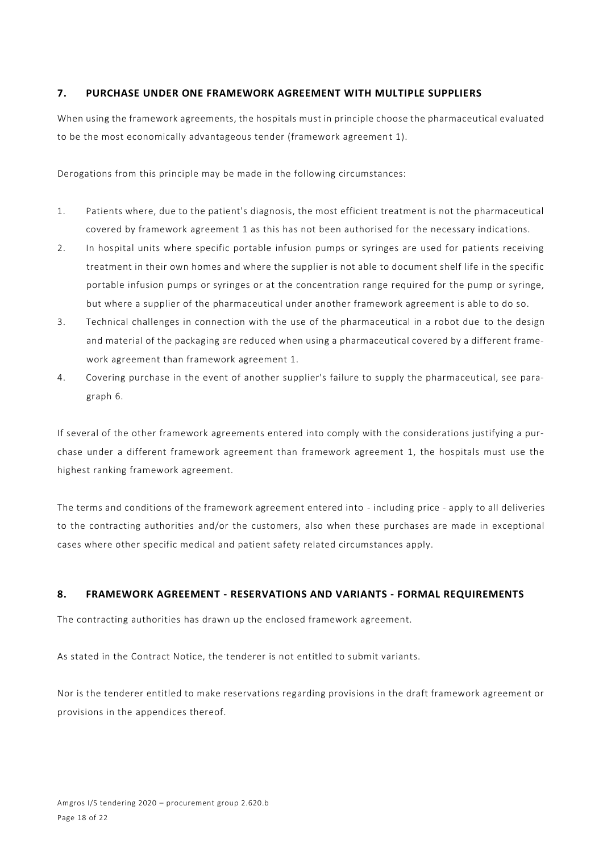# **7. PURCHASE UNDER ONE FRAMEWORK AGREEMENT WITH MULTIPLE SUPPLIERS**

When using the framework agreements, the hospitals must in principle choose the pharmaceutical evaluated to be the most economically advantageous tender (framework agreement 1).

Derogations from this principle may be made in the following circumstances:

- 1. Patients where, due to the patient's diagnosis, the most efficient treatment is not the pharmaceutical covered by framework agreement 1 as this has not been authorised for the necessary indications.
- 2. In hospital units where specific portable infusion pumps or syringes are used for patients receiving treatment in their own homes and where the supplier is not able to document shelf life in the specific portable infusion pumps or syringes or at the concentration range required for the pump or syringe, but where a supplier of the pharmaceutical under another framework agreement is able to do so.
- 3. Technical challenges in connection with the use of the pharmaceutical in a robot due to the design and material of the packaging are reduced when using a pharmaceutical covered by a different framework agreement than framework agreement 1.
- 4. Covering purchase in the event of another supplier's failure to supply the pharmaceutical, see paragraph 6.

If several of the other framework agreements entered into comply with the considerations justifying a purchase under a different framework agreement than framework agreement 1, the hospitals must use the highest ranking framework agreement.

The terms and conditions of the framework agreement entered into - including price - apply to all deliveries to the contracting authorities and/or the customers, also when these purchases are made in exceptional cases where other specific medical and patient safety related circumstances apply.

# **8. FRAMEWORK AGREEMENT - RESERVATIONS AND VARIANTS - FORMAL REQUIREMENTS**

The contracting authorities has drawn up the enclosed framework agreement.

As stated in the Contract Notice, the tenderer is not entitled to submit variants.

Nor is the tenderer entitled to make reservations regarding provisions in the draft framework agreement or provisions in the appendices thereof.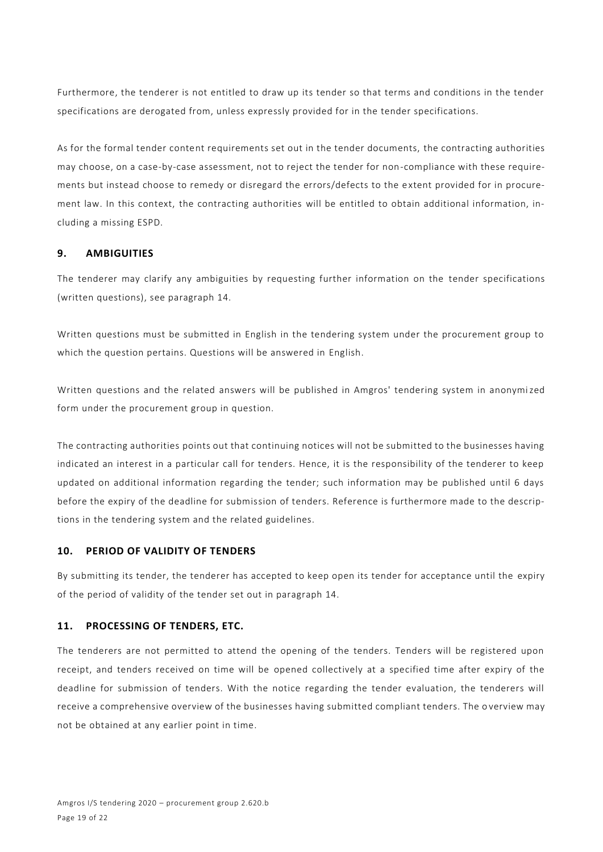Furthermore, the tenderer is not entitled to draw up its tender so that terms and conditions in the tender specifications are derogated from, unless expressly provided for in the tender specifications.

As for the formal tender content requirements set out in the tender documents, the contracting authorities may choose, on a case-by-case assessment, not to reject the tender for non-compliance with these requirements but instead choose to remedy or disregard the errors/defects to the e xtent provided for in procurement law. In this context, the contracting authorities will be entitled to obtain additional information, including a missing ESPD.

# **9. AMBIGUITIES**

The tenderer may clarify any ambiguities by requesting further information on the tender specifications (written questions), see paragraph 14.

Written questions must be submitted in English in the tendering system under the procurement group to which the question pertains. Questions will be answered in English.

Written questions and the related answers will be published in Amgros' tendering system in anonymized form under the procurement group in question.

The contracting authorities points out that continuing notices will not be submitted to the businesses having indicated an interest in a particular call for tenders. Hence, it is the responsibility of the tenderer to keep updated on additional information regarding the tender; such information may be published until 6 days before the expiry of the deadline for submission of tenders. Reference is furthermore made to the descriptions in the tendering system and the related guidelines.

### **10. PERIOD OF VALIDITY OF TENDERS**

By submitting its tender, the tenderer has accepted to keep open its tender for acceptance until the expiry of the period of validity of the tender set out in paragraph 14.

# **11. PROCESSING OF TENDERS, ETC.**

The tenderers are not permitted to attend the opening of the tenders. Tenders will be registered upon receipt, and tenders received on time will be opened collectively at a specified time after expiry of the deadline for submission of tenders. With the notice regarding the tender evaluation, the tenderers will receive a comprehensive overview of the businesses having submitted compliant tenders. The o verview may not be obtained at any earlier point in time.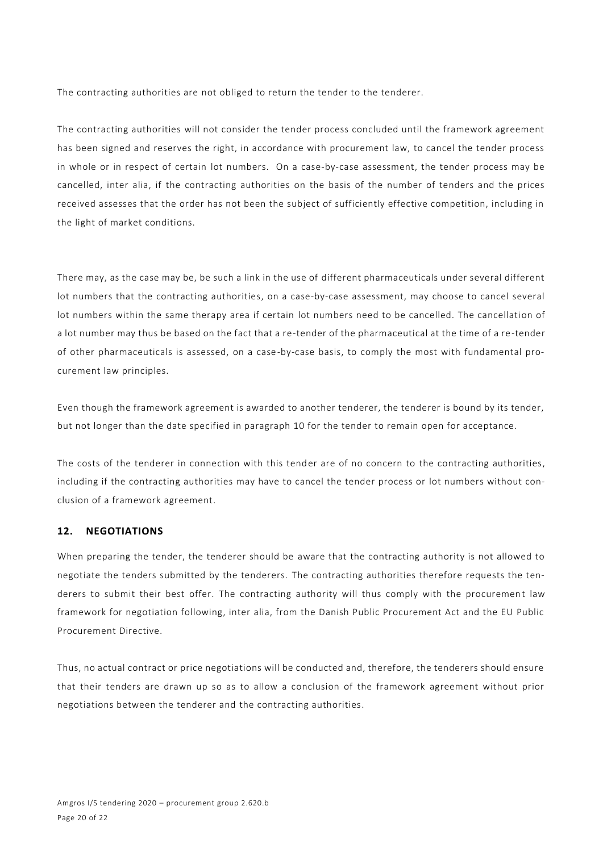The contracting authorities are not obliged to return the tender to the tenderer.

The contracting authorities will not consider the tender process concluded until the framework agreement has been signed and reserves the right, in accordance with procurement law, to cancel the tender process in whole or in respect of certain lot numbers. On a case-by-case assessment, the tender process may be cancelled, inter alia, if the contracting authorities on the basis of the number of tenders and the prices received assesses that the order has not been the subject of sufficiently effective competition, including in the light of market conditions.

There may, as the case may be, be such a link in the use of different pharmaceuticals under several different lot numbers that the contracting authorities, on a case-by-case assessment, may choose to cancel several lot numbers within the same therapy area if certain lot numbers need to be cancelled. The cancellation of a lot number may thus be based on the fact that a re-tender of the pharmaceutical at the time of a re-tender of other pharmaceuticals is assessed, on a case-by-case basis, to comply the most with fundamental procurement law principles.

Even though the framework agreement is awarded to another tenderer, the tenderer is bound by its tender, but not longer than the date specified in paragraph 10 for the tender to remain open for acceptance.

The costs of the tenderer in connection with this tender are of no concern to the contracting authorities, including if the contracting authorities may have to cancel the tender process or lot numbers without conclusion of a framework agreement.

# **12. NEGOTIATIONS**

When preparing the tender, the tenderer should be aware that the contracting authority is not allowed to negotiate the tenders submitted by the tenderers. The contracting authorities therefore requests the tenderers to submit their best offer. The contracting authority will thus comply with the procurement law framework for negotiation following, inter alia, from the Danish Public Procurement Act and the EU Public Procurement Directive.

Thus, no actual contract or price negotiations will be conducted and, therefore, the tenderers should ensure that their tenders are drawn up so as to allow a conclusion of the framework agreement without prior negotiations between the tenderer and the contracting authorities.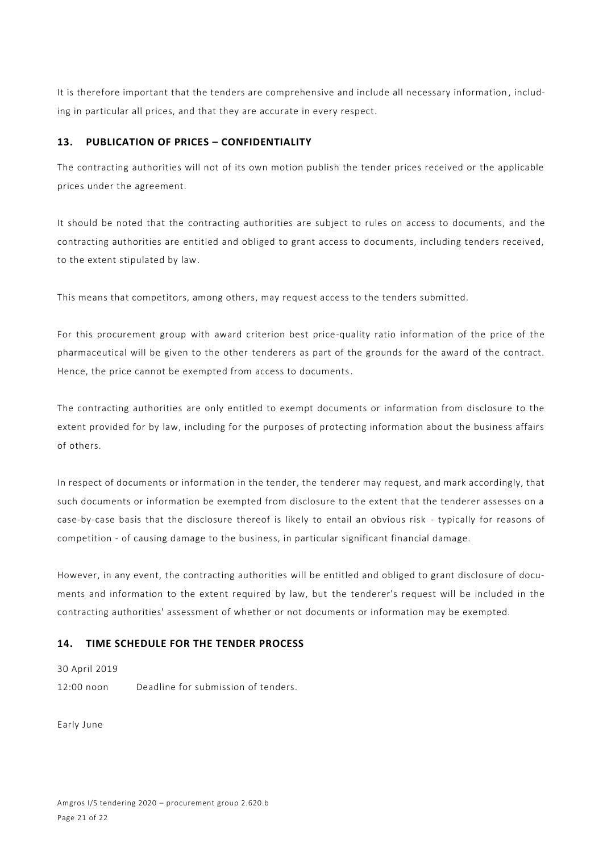It is therefore important that the tenders are comprehensive and include all necessary information , including in particular all prices, and that they are accurate in every respect.

# **13. PUBLICATION OF PRICES – CONFIDENTIALITY**

The contracting authorities will not of its own motion publish the tender prices received or the applicable prices under the agreement.

It should be noted that the contracting authorities are subject to rules on access to documents, and the contracting authorities are entitled and obliged to grant access to documents, including tenders received, to the extent stipulated by law.

This means that competitors, among others, may request access to the tenders submitted.

For this procurement group with award criterion best price-quality ratio information of the price of the pharmaceutical will be given to the other tenderers as part of the grounds for the award of the contract. Hence, the price cannot be exempted from access to documents.

The contracting authorities are only entitled to exempt documents or information from disclosure to the extent provided for by law, including for the purposes of protecting information about the business affairs of others.

In respect of documents or information in the tender, the tenderer may request, and mark accordingly, that such documents or information be exempted from disclosure to the extent that the tenderer assesses on a case-by-case basis that the disclosure thereof is likely to entail an obvious risk - typically for reasons of competition - of causing damage to the business, in particular significant financial damage.

However, in any event, the contracting authorities will be entitled and obliged to grant disclosure of documents and information to the extent required by law, but the tenderer's request will be included in the contracting authorities' assessment of whether or not documents or information may be exempted.

# **14. TIME SCHEDULE FOR THE TENDER PROCESS**

### 30 April 2019

12:00 noon Deadline for submission of tenders.

Early June